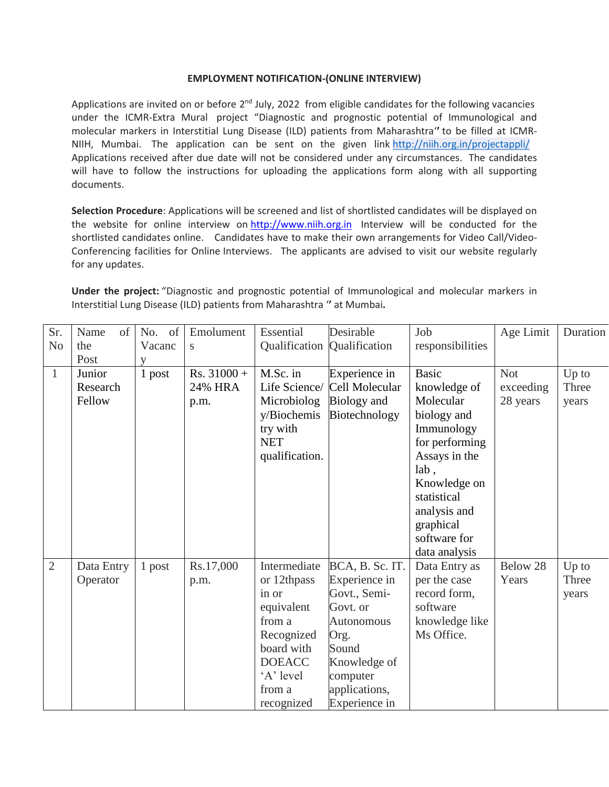## **EMPLOYMENT NOTIFICATION-(ONLINE INTERVIEW)**

Applications are invited on or before 2<sup>nd</sup> July, 2022 from eligible candidates for the following vacancies under the ICMR-Extra Mural project "Diagnostic and prognostic potential of Immunological and molecular markers in Interstitial Lung Disease (ILD) patients from Maharashtra'**'** to be filled at ICMR-NIIH, Mumbai. The application can be sent on the given link <http://niih.org.in/projectappli/> Applications received after due date will not be considered under any circumstances. The candidates will have to follow the instructions for uploading the applications form along with all supporting documents.

**Selection Procedure**: Applications will be screened and list of shortlisted candidates will be displayed on the website for online interview on [http://www.niih.org.in](http://www.niih.org.in/) Interview will be conducted for the shortlisted candidates online. Candidates have to make their own arrangements for Video Call/Video-Conferencing facilities for Online Interviews. The applicants are advised to visit our website regularly for any updates.

**Under the project:** "Diagnostic and prognostic potential of Immunological and molecular markers in Interstitial Lung Disease (ILD) patients from Maharashtra '**'** at Mumbai**.**

| Sr.            | Name<br>of | of<br>No. | Emolument     | Essential      | Desirable       | Job              | Age Limit  | Duration |
|----------------|------------|-----------|---------------|----------------|-----------------|------------------|------------|----------|
| N <sub>o</sub> | the        | Vacanc    | S             | Qualification  | Qualification   | responsibilities |            |          |
|                | Post       |           |               |                |                 |                  |            |          |
| $\mathbf{1}$   | Junior     | 1 post    | $Rs. 31000 +$ | M.Sc. in       | Experience in   | <b>Basic</b>     | <b>Not</b> | Up to    |
|                | Research   |           | 24% HRA       | Life Science/  | Cell Molecular  | knowledge of     | exceeding  | Three    |
|                | Fellow     |           | p.m.          | Microbiolog    | Biology and     | Molecular        | 28 years   | years    |
|                |            |           |               | y/Biochemis    | Biotechnology   | biology and      |            |          |
|                |            |           |               | try with       |                 | Immunology       |            |          |
|                |            |           |               | <b>NET</b>     |                 | for performing   |            |          |
|                |            |           |               | qualification. |                 | Assays in the    |            |          |
|                |            |           |               |                |                 | lab,             |            |          |
|                |            |           |               |                |                 | Knowledge on     |            |          |
|                |            |           |               |                |                 | statistical      |            |          |
|                |            |           |               |                |                 | analysis and     |            |          |
|                |            |           |               |                |                 | graphical        |            |          |
|                |            |           |               |                |                 | software for     |            |          |
|                |            |           |               |                |                 | data analysis    |            |          |
| $\overline{2}$ | Data Entry | 1 post    | Rs.17,000     | Intermediate   | BCA, B. Sc. IT. | Data Entry as    | Below 28   | Up to    |
|                | Operator   |           | p.m.          | or 12thpass    | Experience in   | per the case     | Years      | Three    |
|                |            |           |               | in or          | Govt., Semi-    | record form,     |            | years    |
|                |            |           |               | equivalent     | Govt. or        | software         |            |          |
|                |            |           |               | from a         | Autonomous      | knowledge like   |            |          |
|                |            |           |               | Recognized     | Org.            | Ms Office.       |            |          |
|                |            |           |               | board with     | Sound           |                  |            |          |
|                |            |           |               | <b>DOEACC</b>  | Knowledge of    |                  |            |          |
|                |            |           |               | 'A' level      | computer        |                  |            |          |
|                |            |           |               | from a         | applications,   |                  |            |          |
|                |            |           |               | recognized     | Experience in   |                  |            |          |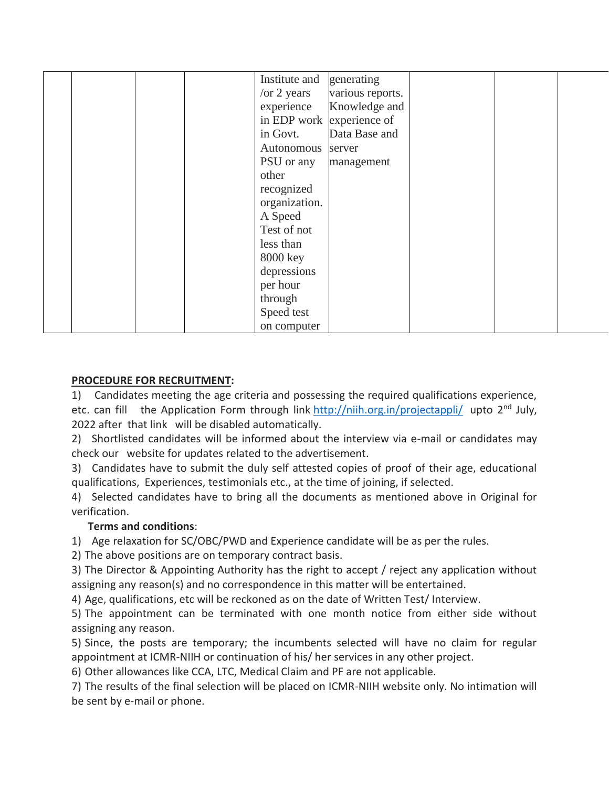|  |  | Institute and       | generating                |  |  |
|--|--|---------------------|---------------------------|--|--|
|  |  |                     |                           |  |  |
|  |  | $\sqrt{or} 2$ years | various reports.          |  |  |
|  |  | experience          | Knowledge and             |  |  |
|  |  |                     | in EDP work experience of |  |  |
|  |  | in Govt.            | Data Base and             |  |  |
|  |  | Autonomous          | server                    |  |  |
|  |  | PSU or any          | management                |  |  |
|  |  | other               |                           |  |  |
|  |  | recognized          |                           |  |  |
|  |  | organization.       |                           |  |  |
|  |  | A Speed             |                           |  |  |
|  |  | Test of not         |                           |  |  |
|  |  | less than           |                           |  |  |
|  |  | 8000 key            |                           |  |  |
|  |  | depressions         |                           |  |  |
|  |  | per hour            |                           |  |  |
|  |  | through             |                           |  |  |
|  |  | Speed test          |                           |  |  |
|  |  | on computer         |                           |  |  |

## **PROCEDURE FOR RECRUITMENT:**

1) Candidates meeting the age criteria and possessing the required qualifications experience, etc. can fill the Application Form through link <http://niih.org.in/projectappli/> upto 2<sup>nd</sup> July, 2022 after that link will be disabled automatically.

2) Shortlisted candidates will be informed about the interview via e-mail or candidates may check our website for updates related to the advertisement.

3) Candidates have to submit the duly self attested copies of proof of their age, educational qualifications, Experiences, testimonials etc., at the time of joining, if selected.

4) Selected candidates have to bring all the documents as mentioned above in Original for verification.

## **Terms and conditions**:

1) Age relaxation for SC/OBC/PWD and Experience candidate will be as per the rules.

2) The above positions are on temporary contract basis.

3) The Director & Appointing Authority has the right to accept / reject any application without assigning any reason(s) and no correspondence in this matter will be entertained.

4) Age, qualifications, etc will be reckoned as on the date of Written Test/ Interview.

5) The appointment can be terminated with one month notice from either side without assigning any reason.

5) Since, the posts are temporary; the incumbents selected will have no claim for regular appointment at ICMR-NIIH or continuation of his/ her services in any other project.

6) Other allowances like CCA, LTC, Medical Claim and PF are not applicable.

7) The results of the final selection will be placed on ICMR-NIIH website only. No intimation will be sent by e-mail or phone.